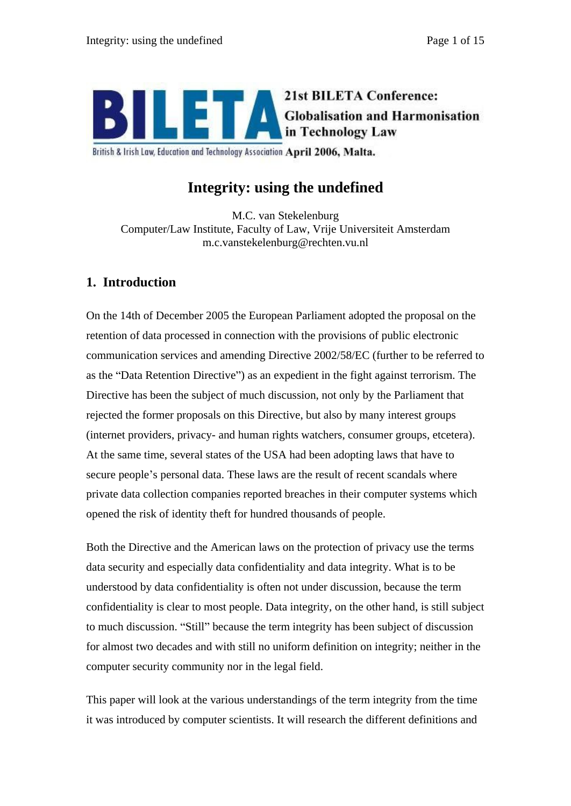

British & Irish Law, Education and Technology Association April 2006, Malta.

# **Integrity: using the undefined**

M.C. van Stekelenburg Computer/Law Institute, Faculty of Law, Vrije Universiteit Amsterdam m.c.vanstekelenburg@rechten.vu.nl

# **1. Introduction**

On the 14th of December 2005 the European Parliament adopted the proposal on the retention of data processed in connection with the provisions of public electronic communication services and amending Directive 2002/58/EC (further to be referred to as the "Data Retention Directive") as an expedient in the fight against terrorism. The Directive has been the subject of much discussion, not only by the Parliament that rejected the former proposals on this Directive, but also by many interest groups (internet providers, privacy- and human rights watchers, consumer groups, etcetera). At the same time, several states of the USA had been adopting laws that have to secure people's personal data. These laws are the result of recent scandals where private data collection companies reported breaches in their computer systems which opened the risk of identity theft for hundred thousands of people.

Both the Directive and the American laws on the protection of privacy use the terms data security and especially data confidentiality and data integrity. What is to be understood by data confidentiality is often not under discussion, because the term confidentiality is clear to most people. Data integrity, on the other hand, is still subject to much discussion. "Still" because the term integrity has been subject of discussion for almost two decades and with still no uniform definition on integrity; neither in the computer security community nor in the legal field.

This paper will look at the various understandings of the term integrity from the time it was introduced by computer scientists. It will research the different definitions and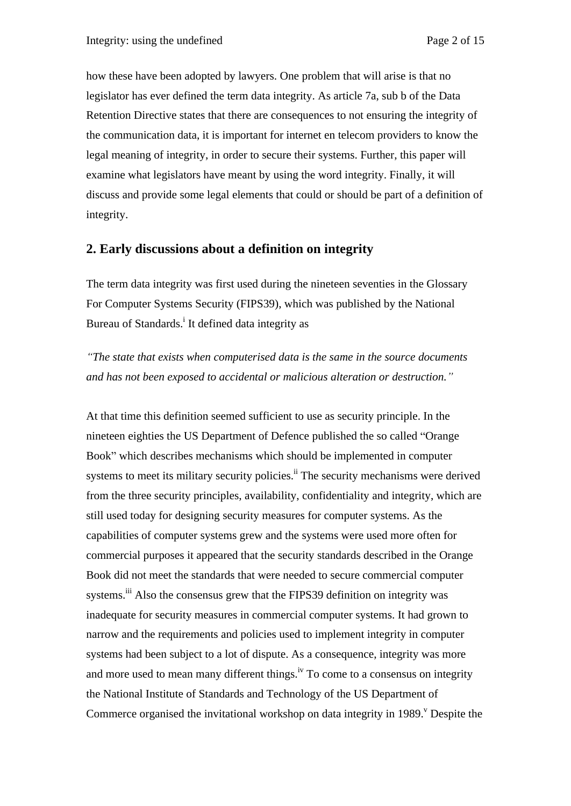how these have been adopted by lawyers. One problem that will arise is that no legislator has ever defined the term data integrity. As article 7a, sub b of the Data Retention Directive states that there are consequences to not ensuring the integrity of the communication data, it is important for internet en telecom providers to know the legal meaning of integrity, in order to secure their systems. Further, this paper will examine what legislators have meant by using the word integrity. Finally, it will discuss and provide some legal elements that could or should be part of a definition of integrity.

## **2. Early discussions about a definition on integrity**

The term data integrity was first used during the nineteen seventies in the Glossary For Computer Systems Security (FIPS39), which was published by the National Bureau of Standards.<sup>i</sup> It defined data integrity as

*The state that exists when computerised data is the same in the source documents and has not been exposed to accidental or malicious alteration or destruction.*

At that time this definition seemed sufficient to use as security principle. In the nineteen eighties the US Department of Defence published the so called "Orange" Book" which describes mechanisms which should be implemented in computer systems to meet its military security policies.<sup>ii</sup> The security mechanisms were derived from the three security principles, availability, confidentiality and integrity, which are still used today for designing security measures for computer systems. As the capabilities of computer systems grew and the systems were used more often for commercial purposes it appeared that the security standards described in the Orange Book did not meet the standards that were needed to secure commercial computer systems.<sup>iii</sup> Also the consensus grew that the FIPS39 definition on integrity was inadequate for security measures in commercial computer systems. It had grown to narrow and the requirements and policies used to implement integrity in computer systems had been subject to a lot of dispute. As a consequence, integrity was more and more used to mean many different things.<sup>iv</sup> To come to a consensus on integrity the National Institute of Standards and Technology of the US Department of Commerce organised the invitational workshop on data integrity in 1989. Despite the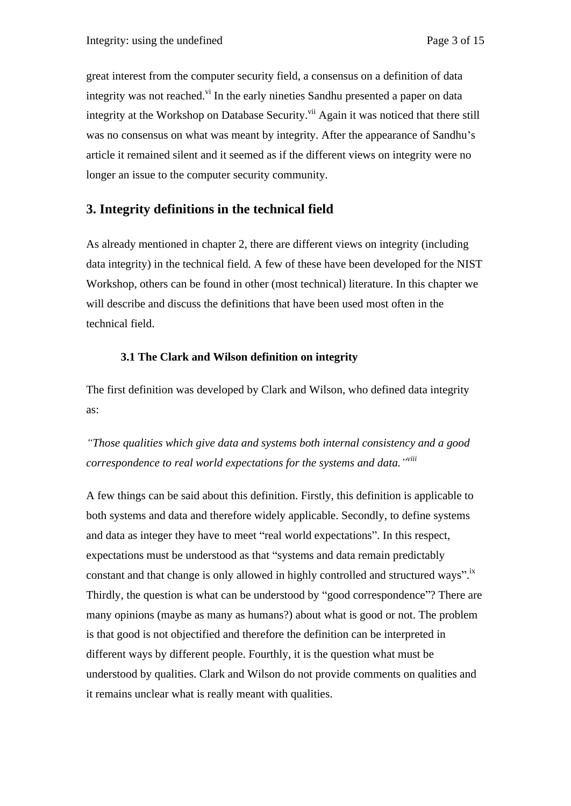great interest from the computer security field, a consensus on a definition of data integrity was not reached.<sup>vi</sup> In the early nineties Sandhu presented a paper on data integrity at the Workshop on Database Security.<sup>vii</sup> Again it was noticed that there still was no consensus on what was meant by integrity. After the appearance of Sandhu's article it remained silent and it seemed as if the different views on integrity were no longer an issue to the computer security community.

## **3. Integrity definitions in the technical field**

As already mentioned in chapter 2, there are different views on integrity (including data integrity) in the technical field. A few of these have been developed for the NIST Workshop, others can be found in other (most technical) literature. In this chapter we will describe and discuss the definitions that have been used most often in the technical field.

## **3.1 The Clark and Wilson definition on integrity**

The first definition was developed by Clark and Wilson, who defined data integrity as:

*Those qualities which give data and systems both internal consistency and a good correspondence to real world expectations for the systems and data. viii*

A few things can be said about this definition. Firstly, this definition is applicable to both systems and data and therefore widely applicable. Secondly, to define systems and data as integer they have to meet "real world expectations". In this respect, expectations must be understood as that "systems and data remain predictably constant and that change is only allowed in highly controlled and structured ways".<sup>ix</sup> Thirdly, the question is what can be understood by "good correspondence"? There are many opinions (maybe as many as humans?) about what is good or not. The problem is that good is not objectified and therefore the definition can be interpreted in different ways by different people. Fourthly, it is the question what must be understood by qualities. Clark and Wilson do not provide comments on qualities and it remains unclear what is really meant with qualities.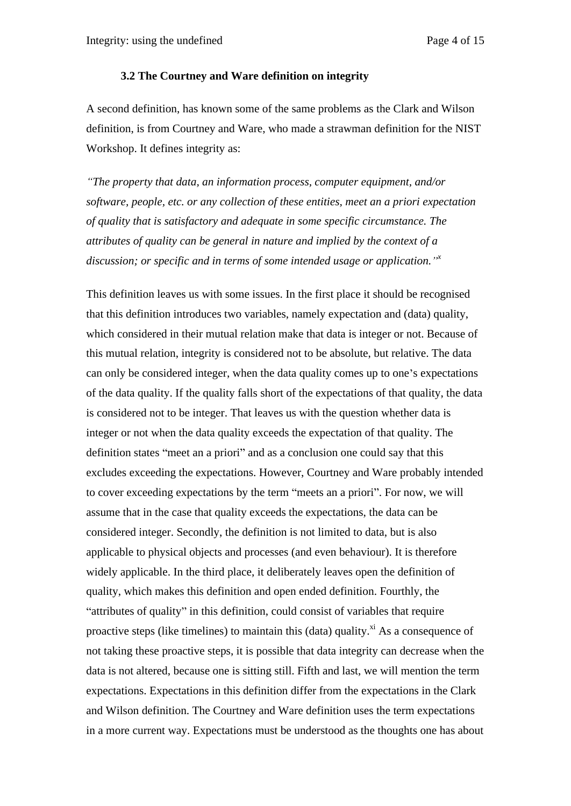#### **3.2 The Courtney and Ware definition on integrity**

A second definition, has known some of the same problems as the Clark and Wilson definition, is from Courtney and Ware, who made a strawman definition for the NIST Workshop. It defines integrity as:

*The property that data, an information process, computer equipment, and/or software, people, etc. or any collection of these entities, meet an a priori expectation of quality that is satisfactory and adequate in some specific circumstance. The attributes of quality can be general in nature and implied by the context of a discussion; or specific and in terms of some intended usage or application. <sup>x</sup>*

This definition leaves us with some issues. In the first place it should be recognised that this definition introduces two variables, namely expectation and (data) quality, which considered in their mutual relation make that data is integer or not. Because of this mutual relation, integrity is considered not to be absolute, but relative. The data can only be considered integer, when the data quality comes up to one's expectations of the data quality. If the quality falls short of the expectations of that quality, the data is considered not to be integer. That leaves us with the question whether data is integer or not when the data quality exceeds the expectation of that quality. The definition states "meet an a priori" and as a conclusion one could say that this excludes exceeding the expectations. However, Courtney and Ware probably intended to cover exceeding expectations by the term "meets an a priori". For now, we will assume that in the case that quality exceeds the expectations, the data can be considered integer. Secondly, the definition is not limited to data, but is also applicable to physical objects and processes (and even behaviour). It is therefore widely applicable. In the third place, it deliberately leaves open the definition of quality, which makes this definition and open ended definition. Fourthly, the "attributes of quality" in this definition, could consist of variables that require proactive steps (like timelines) to maintain this (data) quality.<sup> $xi$ </sup> As a consequence of not taking these proactive steps, it is possible that data integrity can decrease when the data is not altered, because one is sitting still. Fifth and last, we will mention the term expectations. Expectations in this definition differ from the expectations in the Clark and Wilson definition. The Courtney and Ware definition uses the term expectations in a more current way. Expectations must be understood as the thoughts one has about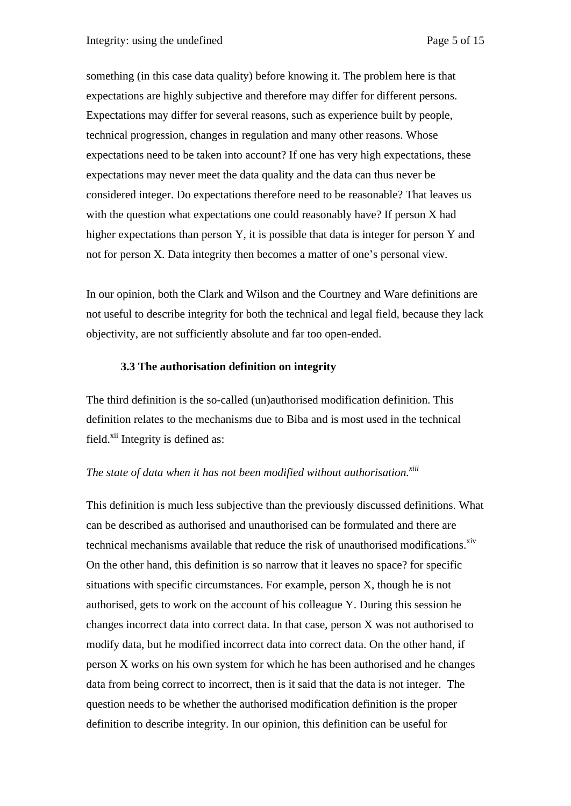something (in this case data quality) before knowing it. The problem here is that expectations are highly subjective and therefore may differ for different persons. Expectations may differ for several reasons, such as experience built by people, technical progression, changes in regulation and many other reasons. Whose expectations need to be taken into account? If one has very high expectations, these expectations may never meet the data quality and the data can thus never be considered integer. Do expectations therefore need to be reasonable? That leaves us with the question what expectations one could reasonably have? If person X had higher expectations than person Y, it is possible that data is integer for person Y and not for person X. Data integrity then becomes a matter of one's personal view.

In our opinion, both the Clark and Wilson and the Courtney and Ware definitions are not useful to describe integrity for both the technical and legal field, because they lack objectivity, are not sufficiently absolute and far too open-ended.

#### **3.3 The authorisation definition on integrity**

The third definition is the so-called (un)authorised modification definition. This definition relates to the mechanisms due to Biba and is most used in the technical field.<sup>xii</sup> Integrity is defined as:

#### *The state of data when it has not been modified without authorisation.*<sup>xiii</sup>

This definition is much less subjective than the previously discussed definitions. What can be described as authorised and unauthorised can be formulated and there are technical mechanisms available that reduce the risk of unauthorised modifications. $\frac{x^2}{x^3}$ On the other hand, this definition is so narrow that it leaves no space? for specific situations with specific circumstances. For example, person X, though he is not authorised, gets to work on the account of his colleague Y. During this session he changes incorrect data into correct data. In that case, person X was not authorised to modify data, but he modified incorrect data into correct data. On the other hand, if person X works on his own system for which he has been authorised and he changes data from being correct to incorrect, then is it said that the data is not integer. The question needs to be whether the authorised modification definition is the proper definition to describe integrity. In our opinion, this definition can be useful for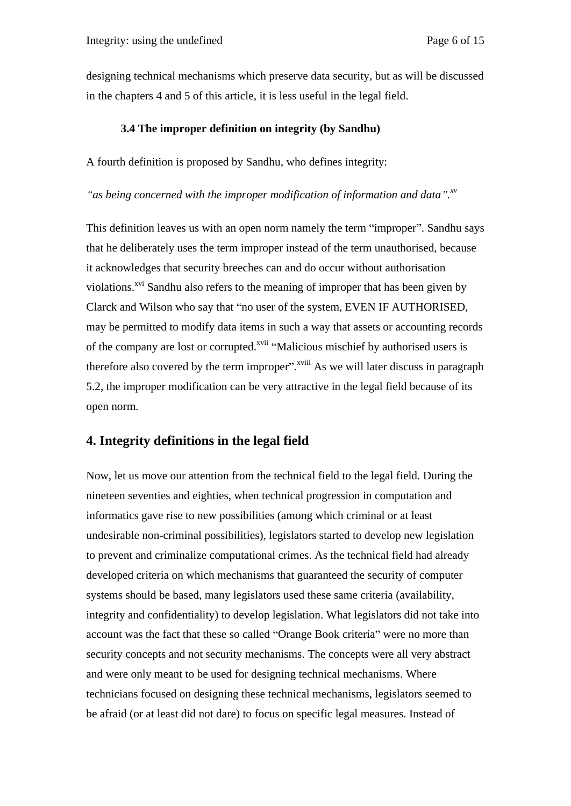designing technical mechanisms which preserve data security, but as will be discussed in the chapters 4 and 5 of this article, it is less useful in the legal field.

#### **3.4 The improper definition on integrity (by Sandhu)**

A fourth definition is proposed by Sandhu, who defines integrity:

*as being concerned with the improper modification of information and data .xv*

This definition leaves us with an open norm namely the term "improper". Sandhu says that he deliberately uses the term improper instead of the term unauthorised, because it acknowledges that security breeches can and do occur without authorisation violations.<sup>xvi</sup> Sandhu also refers to the meaning of improper that has been given by Clarck and Wilson who say that "no user of the system, EVEN IF AUTHORISED, may be permitted to modify data items in such a way that assets or accounting records of the company are lost or corrupted.<sup>xvii</sup> "Malicious mischief by authorised users is therefore also covered by the term improper".<sup> $x$ viii</sup> As we will later discuss in paragraph 5.2, the improper modification can be very attractive in the legal field because of its open norm.

## **4. Integrity definitions in the legal field**

Now, let us move our attention from the technical field to the legal field. During the nineteen seventies and eighties, when technical progression in computation and informatics gave rise to new possibilities (among which criminal or at least undesirable non-criminal possibilities), legislators started to develop new legislation to prevent and criminalize computational crimes. As the technical field had already developed criteria on which mechanisms that guaranteed the security of computer systems should be based, many legislators used these same criteria (availability, integrity and confidentiality) to develop legislation. What legislators did not take into account was the fact that these so called "Orange Book criteria" were no more than security concepts and not security mechanisms. The concepts were all very abstract and were only meant to be used for designing technical mechanisms. Where technicians focused on designing these technical mechanisms, legislators seemed to be afraid (or at least did not dare) to focus on specific legal measures. Instead of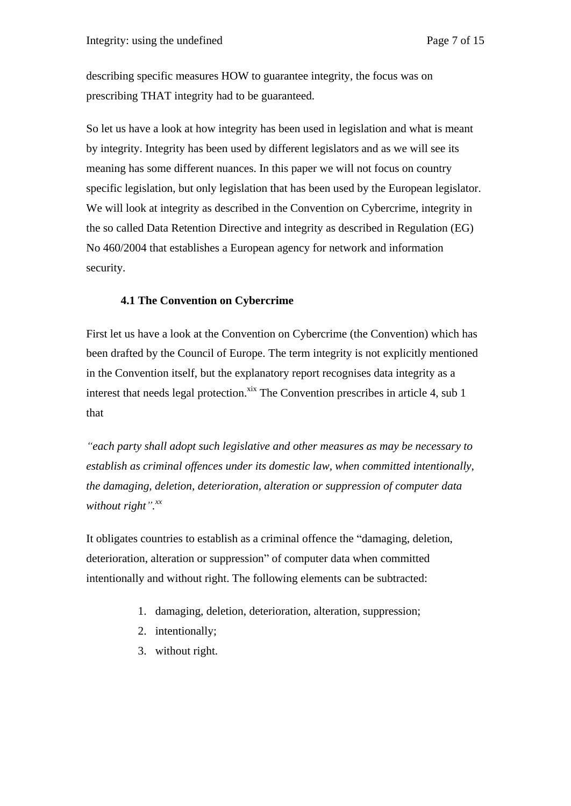describing specific measures HOW to guarantee integrity, the focus was on prescribing THAT integrity had to be guaranteed.

So let us have a look at how integrity has been used in legislation and what is meant by integrity. Integrity has been used by different legislators and as we will see its meaning has some different nuances. In this paper we will not focus on country specific legislation, but only legislation that has been used by the European legislator. We will look at integrity as described in the Convention on Cybercrime, integrity in the so called Data Retention Directive and integrity as described in Regulation (EG) No 460/2004 that establishes a European agency for network and information security.

### **4.1 The Convention on Cybercrime**

First let us have a look at the Convention on Cybercrime (the Convention) which has been drafted by the Council of Europe. The term integrity is not explicitly mentioned in the Convention itself, but the explanatory report recognises data integrity as a interest that needs legal protection. $x$ <sup>ix</sup> The Convention prescribes in article 4, sub 1 that

*each party shall adopt such legislative and other measures as may be necessary to establish as criminal offences under its domestic law, when committed intentionally, the damaging, deletion, deterioration, alteration or suppression of computer data without right*  $\cdot$ *xx a* 

It obligates countries to establish as a criminal offence the "damaging, deletion, deterioration, alteration or suppression" of computer data when committed intentionally and without right. The following elements can be subtracted:

- 1. damaging, deletion, deterioration, alteration, suppression;
- 2. intentionally;
- 3. without right.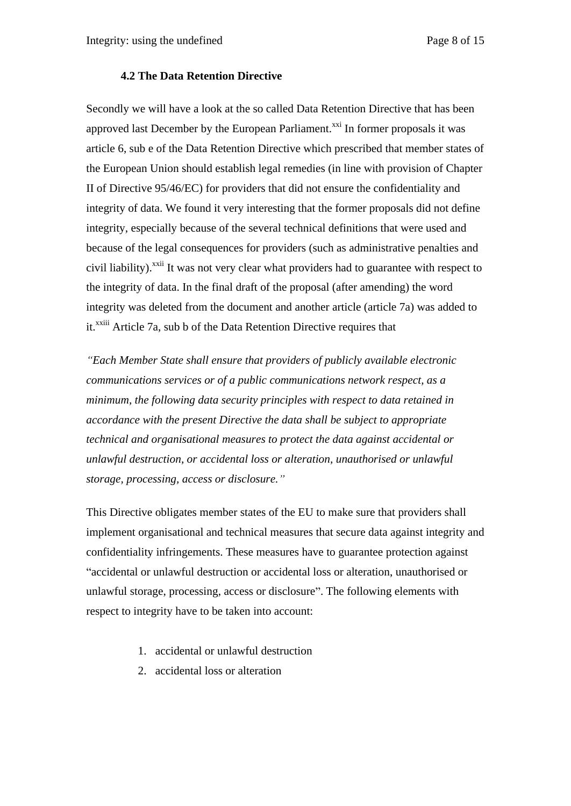#### **4.2 The Data Retention Directive**

Secondly we will have a look at the so called Data Retention Directive that has been approved last December by the European Parliament.<sup>xxi</sup> In former proposals it was article 6, sub e of the Data Retention Directive which prescribed that member states of the European Union should establish legal remedies (in line with provision of Chapter II of Directive 95/46/EC) for providers that did not ensure the confidentiality and integrity of data. We found it very interesting that the former proposals did not define integrity, especially because of the several technical definitions that were used and because of the legal consequences for providers (such as administrative penalties and civil liability).<sup>xxii</sup> It was not very clear what providers had to guarantee with respect to the integrity of data. In the final draft of the proposal (after amending) the word integrity was deleted from the document and another article (article 7a) was added to it.<sup>xxiii</sup> Article 7a, sub b of the Data Retention Directive requires that

*Each Member State shall ensure that providers of publicly available electronic communications services or of a public communications network respect, as a minimum, the following data security principles with respect to data retained in accordance with the present Directive the data shall be subject to appropriate technical and organisational measures to protect the data against accidental or unlawful destruction, or accidental loss or alteration, unauthorised or unlawful storage, processing, access or disclosure.*

This Directive obligates member states of the EU to make sure that providers shall implement organisational and technical measures that secure data against integrity and confidentiality infringements. These measures have to guarantee protection against accidental or unlawful destruction or accidental loss or alteration, unauthorised or unlawful storage, processing, access or disclosure". The following elements with respect to integrity have to be taken into account:

- 1. accidental or unlawful destruction
- 2. accidental loss or alteration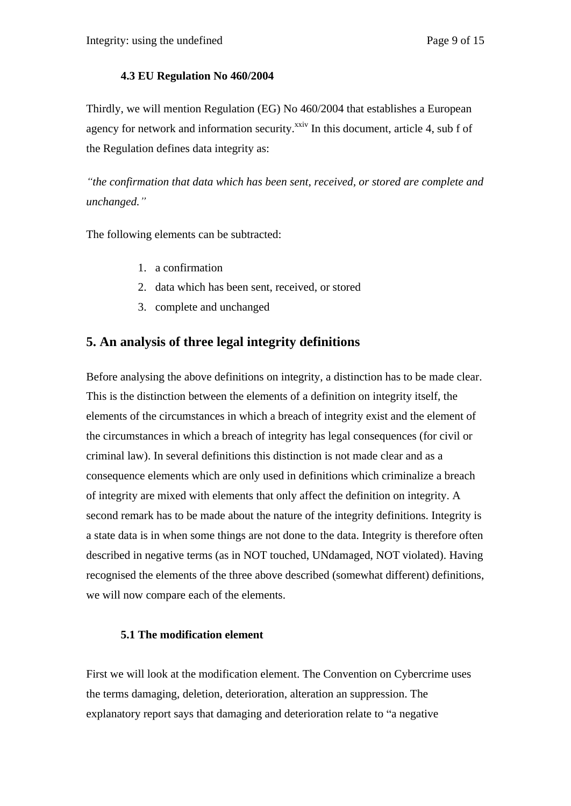### **4.3 EU Regulation No 460/2004**

Thirdly, we will mention Regulation (EG) No 460/2004 that establishes a European agency for network and information security.<sup>xxiv</sup> In this document, article 4, sub f of the Regulation defines data integrity as:

*the confirmation that data which has been sent, received, or stored are complete and unchanged.*

The following elements can be subtracted:

- 1. a confirmation
- 2. data which has been sent, received, or stored
- 3. complete and unchanged

# **5. An analysis of three legal integrity definitions**

Before analysing the above definitions on integrity, a distinction has to be made clear. This is the distinction between the elements of a definition on integrity itself, the elements of the circumstances in which a breach of integrity exist and the element of the circumstances in which a breach of integrity has legal consequences (for civil or criminal law). In several definitions this distinction is not made clear and as a consequence elements which are only used in definitions which criminalize a breach of integrity are mixed with elements that only affect the definition on integrity. A second remark has to be made about the nature of the integrity definitions. Integrity is a state data is in when some things are not done to the data. Integrity is therefore often described in negative terms (as in NOT touched, UNdamaged, NOT violated). Having recognised the elements of the three above described (somewhat different) definitions, we will now compare each of the elements.

## **5.1 The modification element**

First we will look at the modification element. The Convention on Cybercrime uses the terms damaging, deletion, deterioration, alteration an suppression. The explanatory report says that damaging and deterioration relate to "a negative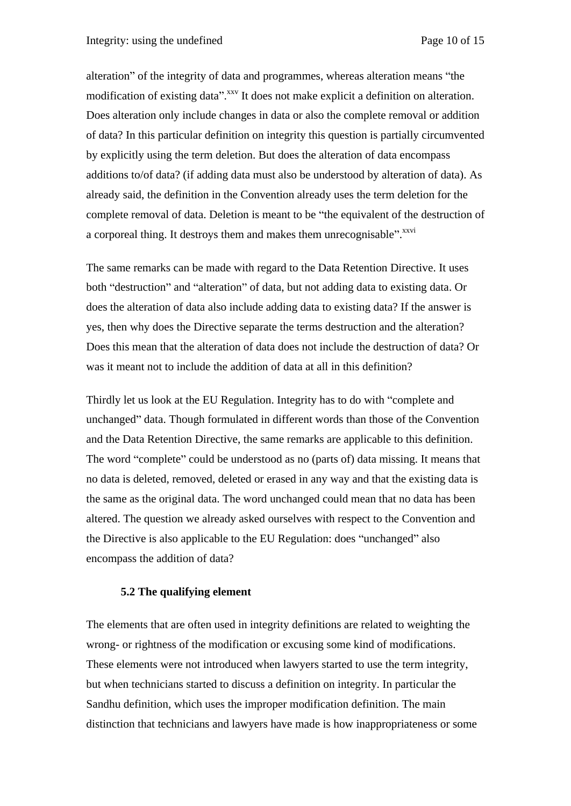alteration" of the integrity of data and programmes, whereas alteration means "the modification of existing data".<sup>xxv</sup> It does not make explicit a definition on alteration. Does alteration only include changes in data or also the complete removal or addition of data? In this particular definition on integrity this question is partially circumvented by explicitly using the term deletion. But does the alteration of data encompass additions to/of data? (if adding data must also be understood by alteration of data). As already said, the definition in the Convention already uses the term deletion for the complete removal of data. Deletion is meant to be "the equivalent of the destruction of a corporeal thing. It destroys them and makes them unrecognisable".<sup>xxvi</sup>

The same remarks can be made with regard to the Data Retention Directive. It uses both "destruction" and "alteration" of data, but not adding data to existing data. Or does the alteration of data also include adding data to existing data? If the answer is yes, then why does the Directive separate the terms destruction and the alteration? Does this mean that the alteration of data does not include the destruction of data? Or was it meant not to include the addition of data at all in this definition?

Thirdly let us look at the EU Regulation. Integrity has to do with "complete and unchanged" data. Though formulated in different words than those of the Convention and the Data Retention Directive, the same remarks are applicable to this definition. The word "complete" could be understood as no (parts of) data missing. It means that no data is deleted, removed, deleted or erased in any way and that the existing data is the same as the original data. The word unchanged could mean that no data has been altered. The question we already asked ourselves with respect to the Convention and the Directive is also applicable to the EU Regulation: does "unchanged" also encompass the addition of data?

#### **5.2 The qualifying element**

The elements that are often used in integrity definitions are related to weighting the wrong- or rightness of the modification or excusing some kind of modifications. These elements were not introduced when lawyers started to use the term integrity, but when technicians started to discuss a definition on integrity. In particular the Sandhu definition, which uses the improper modification definition. The main distinction that technicians and lawyers have made is how inappropriateness or some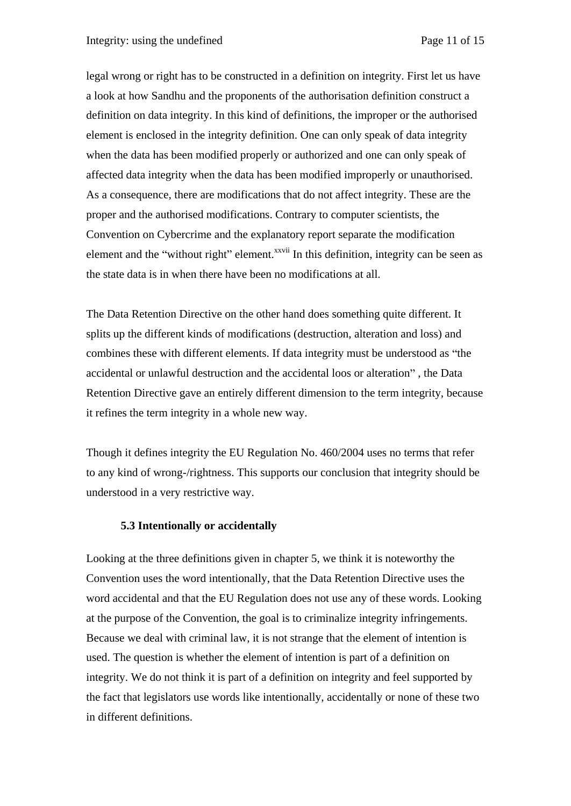legal wrong or right has to be constructed in a definition on integrity. First let us have a look at how Sandhu and the proponents of the authorisation definition construct a definition on data integrity. In this kind of definitions, the improper or the authorised element is enclosed in the integrity definition. One can only speak of data integrity when the data has been modified properly or authorized and one can only speak of affected data integrity when the data has been modified improperly or unauthorised. As a consequence, there are modifications that do not affect integrity. These are the proper and the authorised modifications. Contrary to computer scientists, the Convention on Cybercrime and the explanatory report separate the modification element and the "without right" element.<sup>xxvii</sup> In this definition, integrity can be seen as the state data is in when there have been no modifications at all.

The Data Retention Directive on the other hand does something quite different. It splits up the different kinds of modifications (destruction, alteration and loss) and combines these with different elements. If data integrity must be understood as "the accidental or unlawful destruction and the accidental loos or alteration", the Data Retention Directive gave an entirely different dimension to the term integrity, because it refines the term integrity in a whole new way.

Though it defines integrity the EU Regulation No. 460/2004 uses no terms that refer to any kind of wrong-/rightness. This supports our conclusion that integrity should be understood in a very restrictive way.

#### **5.3 Intentionally or accidentally**

Looking at the three definitions given in chapter 5, we think it is noteworthy the Convention uses the word intentionally, that the Data Retention Directive uses the word accidental and that the EU Regulation does not use any of these words. Looking at the purpose of the Convention, the goal is to criminalize integrity infringements. Because we deal with criminal law, it is not strange that the element of intention is used. The question is whether the element of intention is part of a definition on integrity. We do not think it is part of a definition on integrity and feel supported by the fact that legislators use words like intentionally, accidentally or none of these two in different definitions.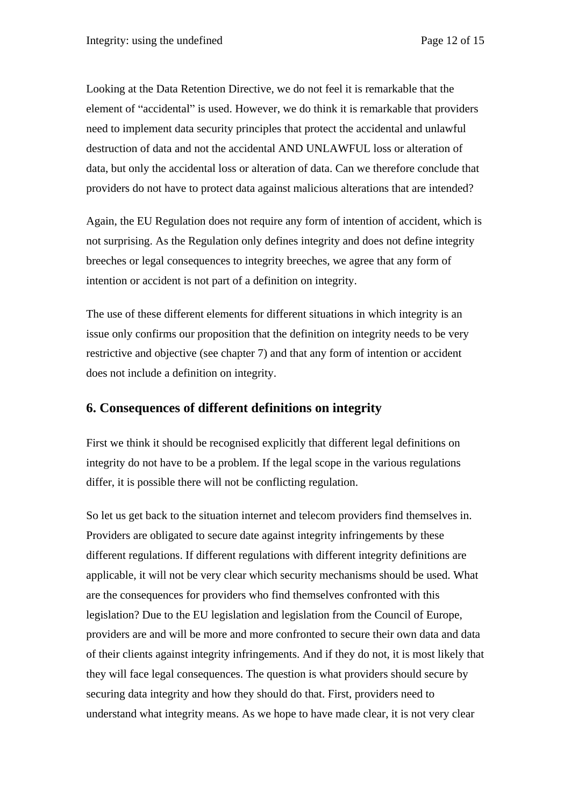Looking at the Data Retention Directive, we do not feel it is remarkable that the element of "accidental" is used. However, we do think it is remarkable that providers need to implement data security principles that protect the accidental and unlawful destruction of data and not the accidental AND UNLAWFUL loss or alteration of data, but only the accidental loss or alteration of data. Can we therefore conclude that providers do not have to protect data against malicious alterations that are intended?

Again, the EU Regulation does not require any form of intention of accident, which is not surprising. As the Regulation only defines integrity and does not define integrity breeches or legal consequences to integrity breeches, we agree that any form of intention or accident is not part of a definition on integrity.

The use of these different elements for different situations in which integrity is an issue only confirms our proposition that the definition on integrity needs to be very restrictive and objective (see chapter 7) and that any form of intention or accident does not include a definition on integrity.

# **6. Consequences of different definitions on integrity**

First we think it should be recognised explicitly that different legal definitions on integrity do not have to be a problem. If the legal scope in the various regulations differ, it is possible there will not be conflicting regulation.

So let us get back to the situation internet and telecom providers find themselves in. Providers are obligated to secure date against integrity infringements by these different regulations. If different regulations with different integrity definitions are applicable, it will not be very clear which security mechanisms should be used. What are the consequences for providers who find themselves confronted with this legislation? Due to the EU legislation and legislation from the Council of Europe, providers are and will be more and more confronted to secure their own data and data of their clients against integrity infringements. And if they do not, it is most likely that they will face legal consequences. The question is what providers should secure by securing data integrity and how they should do that. First, providers need to understand what integrity means. As we hope to have made clear, it is not very clear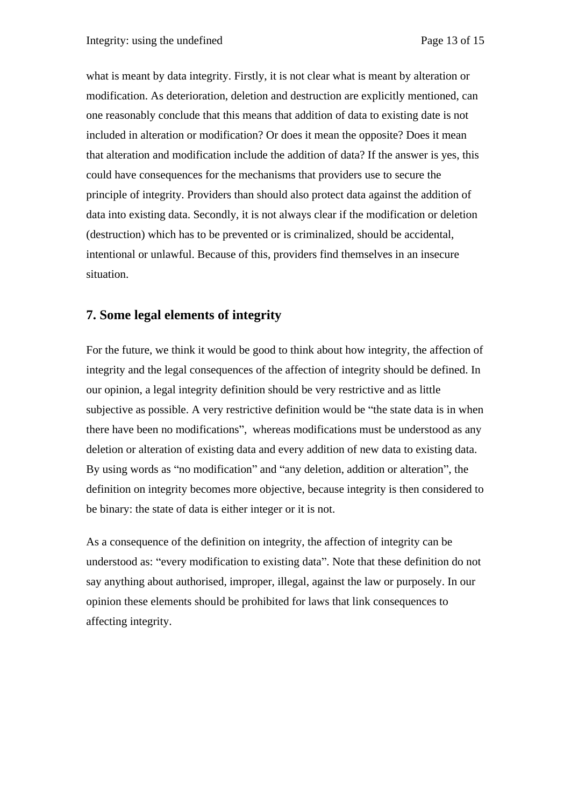what is meant by data integrity. Firstly, it is not clear what is meant by alteration or modification. As deterioration, deletion and destruction are explicitly mentioned, can one reasonably conclude that this means that addition of data to existing date is not included in alteration or modification? Or does it mean the opposite? Does it mean that alteration and modification include the addition of data? If the answer is yes, this could have consequences for the mechanisms that providers use to secure the principle of integrity. Providers than should also protect data against the addition of data into existing data. Secondly, it is not always clear if the modification or deletion (destruction) which has to be prevented or is criminalized, should be accidental, intentional or unlawful. Because of this, providers find themselves in an insecure situation.

# **7. Some legal elements of integrity**

For the future, we think it would be good to think about how integrity, the affection of integrity and the legal consequences of the affection of integrity should be defined. In our opinion, a legal integrity definition should be very restrictive and as little subjective as possible. A very restrictive definition would be "the state data is in when there have been no modifications", whereas modifications must be understood as any deletion or alteration of existing data and every addition of new data to existing data. By using words as "no modification" and "any deletion, addition or alteration", the definition on integrity becomes more objective, because integrity is then considered to be binary: the state of data is either integer or it is not.

As a consequence of the definition on integrity, the affection of integrity can be understood as: "every modification to existing data". Note that these definition do not say anything about authorised, improper, illegal, against the law or purposely. In our opinion these elements should be prohibited for laws that link consequences to affecting integrity.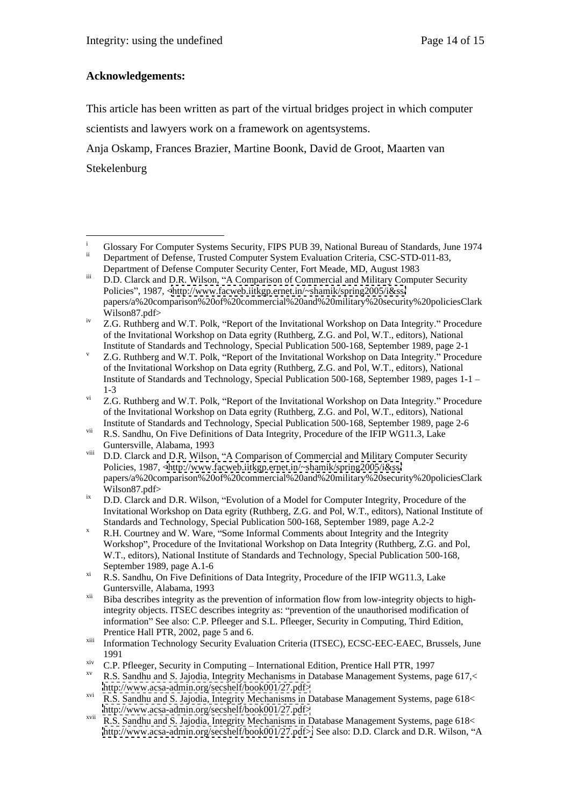## **Acknowledgements:**

This article has been written as part of the virtual bridges project in which computer scientists and lawyers work on a framework on agentsystems.

Anja Oskamp, Frances Brazier, Martine Boonk, David de Groot, Maarten van Stekelenburg

<sup>&</sup>lt;sup>i</sup> Glossary For Computer Systems Security, FIPS PUB 39, National Bureau of Standards, June 1974 Department of Defense, Trusted Computer System Evaluation Criteria, CSC-STD-011-83,

Department of Defense Computer Security Center, Fort Meade, MD, August 1983

iii D.D. Clarck and D.R. Wilson, "A Comparison of Commercial and Military Computer Security Policies", 1987, [<http://www.facweb.iitkgp.ernet.in/~shamik/spring2005/i&ss/](http://www.facweb.iitkgp.ernet.in/~shamik/spring2005/i&ss/) papers/a%20comparison%20of%20commercial%20and%20military%20security%20policiesClark Wilson87.pdf>

<sup>&</sup>lt;sup>iv</sup> Z.G. Ruthberg and W.T. Polk, "Report of the Invitational Workshop on Data Integrity." Procedure of the Invitational Workshop on Data egrity (Ruthberg, Z.G. and Pol, W.T., editors), National Institute of Standards and Technology, Special Publication 500-168, September 1989, page 2-1

 $V$  Z.G. Ruthberg and W.T. Polk, "Report of the Invitational Workshop on Data Integrity." Procedure of the Invitational Workshop on Data egrity (Ruthberg, Z.G. and Pol, W.T., editors), National Institute of Standards and Technology, Special Publication 500-168, September 1989, pages 1-1 1-3

 $\overline{Z}$ . Z.G. Ruthberg and W.T. Polk, "Report of the Invitational Workshop on Data Integrity." Procedure of the Invitational Workshop on Data egrity (Ruthberg, Z.G. and Pol, W.T., editors), National Institute of Standards and Technology, Special Publication 500-168, September 1989, page 2-6

vii R.S. Sandhu, On Five Definitions of Data Integrity, Procedure of the IFIP WG11.3, Lake Guntersville, Alabama, 1993

viii D.D. Clarck and D.R. Wilson, "A Comparison of Commercial and Military Computer Security Policies, 1987, [<http://www.facweb.iitkgp.ernet.in/~shamik/spring2005/i&ss/](http://www.facweb.iitkgp.ernet.in/~shamik/spring2005/i&ss/) papers/a%20comparison%20of%20commercial%20and%20military%20security%20policiesClark Wilson87.pdf>

 $iX$  D.D. Clarck and D.R. Wilson, "Evolution of a Model for Computer Integrity, Procedure of the Invitational Workshop on Data egrity (Ruthberg, Z.G. and Pol, W.T., editors), National Institute of Standards and Technology, Special Publication 500-168, September 1989, page A.2-2

 $X$  R.H. Courtney and W. Ware, "Some Informal Comments about Integrity and the Integrity Workshop", Procedure of the Invitational Workshop on Data Integrity (Ruthberg, Z.G. and Pol, W.T., editors), National Institute of Standards and Technology, Special Publication 500-168, September 1989, page A.1-6

<sup>&</sup>lt;sup>xi</sup> R.S. Sandhu, On Five Definitions of Data Integrity, Procedure of the IFIP WG11.3, Lake Guntersville, Alabama, 1993

xii Biba describes integrity as the prevention of information flow from low-integrity objects to highintegrity objects. ITSEC describes integrity as: "prevention of the unauthorised modification of information" See also: C.P. Pfleeger and S.L. Pfleeger, Security in Computing, Third Edition,

Prentice Hall PTR, 2002, page 5 and 6.<br>Information Technology Security Evaluation Criteria (ITSEC), ECSC-EEC-EAEC, Brussels, June 1991

 $\frac{x}{x}$  C.P. Pfleeger, Security in Computing – International Edition, Prentice Hall PTR, 1997

R.S. Sandhu and S. Jajodia, Integrity Mechanisms in Database Management Systems, page 617,< <http://www.acsa-admin.org/secshelf/book001/27.pdf>>

xvi R.S. Sandhu and S. Jajodia, Integrity Mechanisms in Database Management Systems, page 618< <http://www.acsa-admin.org/secshelf/book001/27.pdf>>

xvii R.S. Sandhu and S. Jajodia, Integrity Mechanisms in Database Management Systems, page 618< <http://www.acsa-admin.org/secshelf/book001/27.pdf>;> See also: D.D. Clarck and D.R. Wilson, "A